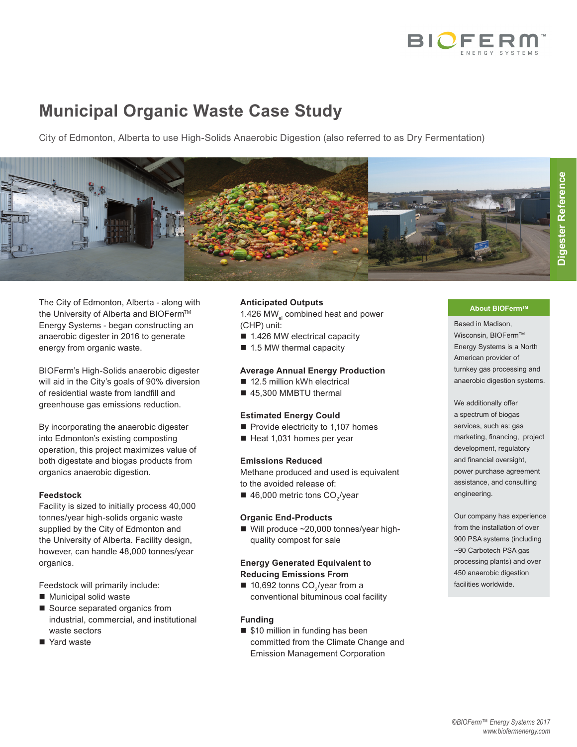

## **Municipal Organic Waste Case Study**

City of Edmonton, Alberta to use High-Solids Anaerobic Digestion (also referred to as Dry Fermentation)



The City of Edmonton, Alberta - along with the University of Alberta and BIOFerm™ Energy Systems - began constructing an anaerobic digester in 2016 to generate energy from organic waste.

BIOFerm's High-Solids anaerobic digester will aid in the City's goals of 90% diversion of residential waste from landfill and greenhouse gas emissions reduction.

By incorporating the anaerobic digester into Edmonton's existing composting operation, this project maximizes value of both digestate and biogas products from organics anaerobic digestion.

#### **Feedstock**

Facility is sized to initially process 40,000 tonnes/year high-solids organic waste supplied by the City of Edmonton and the University of Alberta. Facility design, however, can handle 48,000 tonnes/year organics.

Feedstock will primarily include:

- Municipal solid waste
- Source separated organics from industrial, commercial, and institutional waste sectors
- Yard waste

#### **Anticipated Outputs**

1.426 MW $_{el}$  combined heat and power (CHP) unit:

- 1.426 MW electrical capacity
- 1.5 MW thermal capacity

#### **Average Annual Energy Production**

- 12.5 million kWh electrical
- 45,300 MMBTU thermal

#### **Estimated Energy Could**

- Provide electricity to 1,107 homes
- Heat 1,031 homes per year

### **Emissions Reduced**

Methane produced and used is equivalent to the avoided release of:

 $\blacksquare$  46,000 metric tons CO<sub>2</sub>/year

#### **Organic End-Products**

■ Will produce ~20,000 tonnes/year highquality compost for sale

#### **Energy Generated Equivalent to Reducing Emissions From**

■ 10,692 tonns CO<sub>2</sub>/year from a conventional bituminous coal facility

#### **Funding**

■ \$10 million in funding has been committed from the Climate Change and Emission Management Corporation

#### **About BIOFermTM**

Based in Madison, Wisconsin, BIOFerm™ Energy Systems is a North American provider of turnkey gas processing and anaerobic digestion systems.

We additionally offer a spectrum of biogas services, such as: gas marketing, financing, project development, regulatory and financial oversight, power purchase agreement assistance, and consulting engineering.

Our company has experience from the installation of over 900 PSA systems (including ~90 Carbotech PSA gas processing plants) and over 450 anaerobic digestion facilities worldwide.